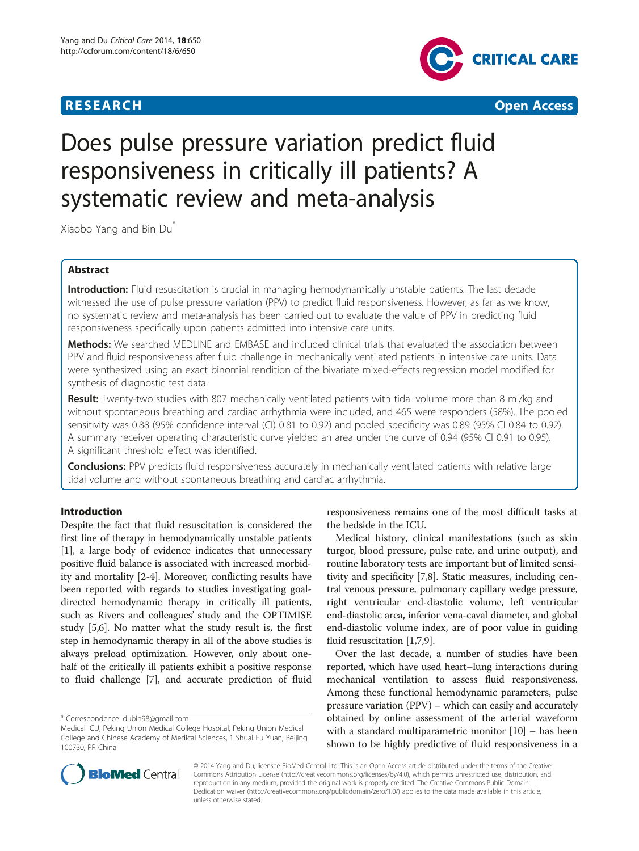



# Does pulse pressure variation predict fluid responsiveness in critically ill patients? A systematic review and meta-analysis

Xiaobo Yang and Bin Du\*

# Abstract

Introduction: Fluid resuscitation is crucial in managing hemodynamically unstable patients. The last decade witnessed the use of pulse pressure variation (PPV) to predict fluid responsiveness. However, as far as we know, no systematic review and meta-analysis has been carried out to evaluate the value of PPV in predicting fluid responsiveness specifically upon patients admitted into intensive care units.

Methods: We searched MEDLINE and EMBASE and included clinical trials that evaluated the association between PPV and fluid responsiveness after fluid challenge in mechanically ventilated patients in intensive care units. Data were synthesized using an exact binomial rendition of the bivariate mixed-effects regression model modified for synthesis of diagnostic test data.

Result: Twenty-two studies with 807 mechanically ventilated patients with tidal volume more than 8 ml/kg and without spontaneous breathing and cardiac arrhythmia were included, and 465 were responders (58%). The pooled sensitivity was 0.88 (95% confidence interval (CI) 0.81 to 0.92) and pooled specificity was 0.89 (95% CI 0.84 to 0.92). A summary receiver operating characteristic curve yielded an area under the curve of 0.94 (95% CI 0.91 to 0.95). A significant threshold effect was identified.

**Conclusions:** PPV predicts fluid responsiveness accurately in mechanically ventilated patients with relative large tidal volume and without spontaneous breathing and cardiac arrhythmia.

# Introduction

Despite the fact that fluid resuscitation is considered the first line of therapy in hemodynamically unstable patients [[1\]](#page-10-0), a large body of evidence indicates that unnecessary positive fluid balance is associated with increased morbidity and mortality [\[2](#page-10-0)-[4](#page-10-0)]. Moreover, conflicting results have been reported with regards to studies investigating goaldirected hemodynamic therapy in critically ill patients, such as Rivers and colleagues' study and the OPTIMISE study [\[5,6](#page-10-0)]. No matter what the study result is, the first step in hemodynamic therapy in all of the above studies is always preload optimization. However, only about onehalf of the critically ill patients exhibit a positive response to fluid challenge [\[7](#page-10-0)], and accurate prediction of fluid

responsiveness remains one of the most difficult tasks at the bedside in the ICU.

Medical history, clinical manifestations (such as skin turgor, blood pressure, pulse rate, and urine output), and routine laboratory tests are important but of limited sensitivity and specificity [[7,8](#page-10-0)]. Static measures, including central venous pressure, pulmonary capillary wedge pressure, right ventricular end-diastolic volume, left ventricular end-diastolic area, inferior vena-caval diameter, and global end-diastolic volume index, are of poor value in guiding fluid resuscitation [[1,7,9](#page-10-0)].

Over the last decade, a number of studies have been reported, which have used heart–lung interactions during mechanical ventilation to assess fluid responsiveness. Among these functional hemodynamic parameters, pulse pressure variation (PPV) – which can easily and accurately obtained by online assessment of the arterial waveform with a standard multiparametric monitor [[10](#page-10-0)] – has been shown to be highly predictive of fluid responsiveness in a



© 2014 Yang and Du; licensee BioMed Central Ltd. This is an Open Access article distributed under the terms of the Creative Commons Attribution License [\(http://creativecommons.org/licenses/by/4.0\)](http://creativecommons.org/licenses/by/4.0), which permits unrestricted use, distribution, and reproduction in any medium, provided the original work is properly credited. The Creative Commons Public Domain Dedication waiver [\(http://creativecommons.org/publicdomain/zero/1.0/](http://creativecommons.org/publicdomain/zero/1.0/)) applies to the data made available in this article, unless otherwise stated.

<sup>\*</sup> Correspondence: [dubin98@gmail.com](mailto:dubin98@gmail.com)

Medical ICU, Peking Union Medical College Hospital, Peking Union Medical College and Chinese Academy of Medical Sciences, 1 Shuai Fu Yuan, Beijing 100730, PR China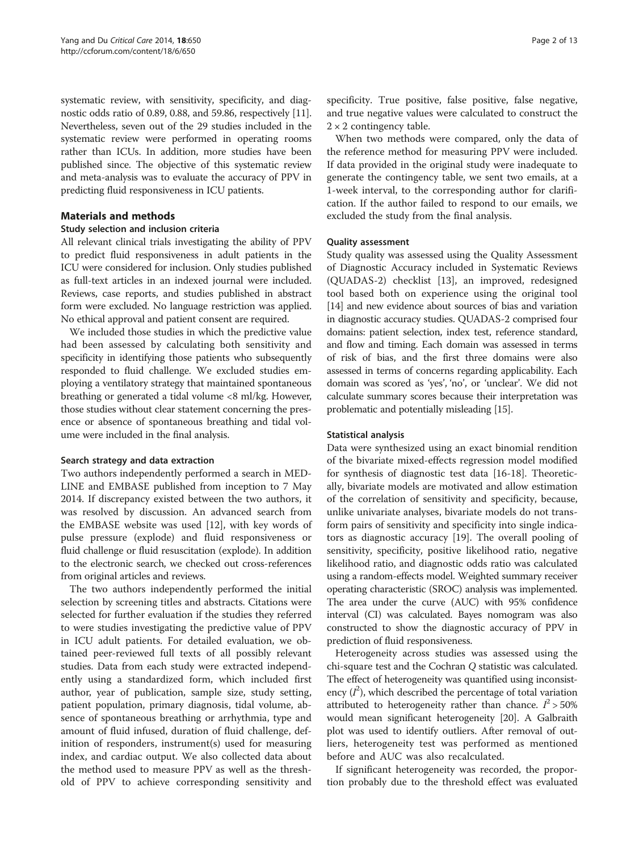systematic review, with sensitivity, specificity, and diagnostic odds ratio of 0.89, 0.88, and 59.86, respectively [[11](#page-10-0)]. Nevertheless, seven out of the 29 studies included in the systematic review were performed in operating rooms rather than ICUs. In addition, more studies have been published since. The objective of this systematic review and meta-analysis was to evaluate the accuracy of PPV in predicting fluid responsiveness in ICU patients.

# Materials and methods

### Study selection and inclusion criteria

All relevant clinical trials investigating the ability of PPV to predict fluid responsiveness in adult patients in the ICU were considered for inclusion. Only studies published as full-text articles in an indexed journal were included. Reviews, case reports, and studies published in abstract form were excluded. No language restriction was applied. No ethical approval and patient consent are required.

We included those studies in which the predictive value had been assessed by calculating both sensitivity and specificity in identifying those patients who subsequently responded to fluid challenge. We excluded studies employing a ventilatory strategy that maintained spontaneous breathing or generated a tidal volume <8 ml/kg. However, those studies without clear statement concerning the presence or absence of spontaneous breathing and tidal volume were included in the final analysis.

### Search strategy and data extraction

Two authors independently performed a search in MED-LINE and EMBASE published from inception to 7 May 2014. If discrepancy existed between the two authors, it was resolved by discussion. An advanced search from the EMBASE website was used [\[12\]](#page-10-0), with key words of pulse pressure (explode) and fluid responsiveness or fluid challenge or fluid resuscitation (explode). In addition to the electronic search, we checked out cross-references from original articles and reviews.

The two authors independently performed the initial selection by screening titles and abstracts. Citations were selected for further evaluation if the studies they referred to were studies investigating the predictive value of PPV in ICU adult patients. For detailed evaluation, we obtained peer-reviewed full texts of all possibly relevant studies. Data from each study were extracted independently using a standardized form, which included first author, year of publication, sample size, study setting, patient population, primary diagnosis, tidal volume, absence of spontaneous breathing or arrhythmia, type and amount of fluid infused, duration of fluid challenge, definition of responders, instrument(s) used for measuring index, and cardiac output. We also collected data about the method used to measure PPV as well as the threshold of PPV to achieve corresponding sensitivity and

specificity. True positive, false positive, false negative, and true negative values were calculated to construct the  $2 \times 2$  contingency table.

When two methods were compared, only the data of the reference method for measuring PPV were included. If data provided in the original study were inadequate to generate the contingency table, we sent two emails, at a 1-week interval, to the corresponding author for clarification. If the author failed to respond to our emails, we excluded the study from the final analysis.

#### Quality assessment

Study quality was assessed using the Quality Assessment of Diagnostic Accuracy included in Systematic Reviews (QUADAS-2) checklist [\[13\]](#page-10-0), an improved, redesigned tool based both on experience using the original tool [[14](#page-10-0)] and new evidence about sources of bias and variation in diagnostic accuracy studies. QUADAS-2 comprised four domains: patient selection, index test, reference standard, and flow and timing. Each domain was assessed in terms of risk of bias, and the first three domains were also assessed in terms of concerns regarding applicability. Each domain was scored as 'yes', 'no', or 'unclear'. We did not calculate summary scores because their interpretation was problematic and potentially misleading [[15](#page-10-0)].

### Statistical analysis

Data were synthesized using an exact binomial rendition of the bivariate mixed-effects regression model modified for synthesis of diagnostic test data [[16-18](#page-11-0)]. Theoretically, bivariate models are motivated and allow estimation of the correlation of sensitivity and specificity, because, unlike univariate analyses, bivariate models do not transform pairs of sensitivity and specificity into single indicators as diagnostic accuracy [\[19\]](#page-11-0). The overall pooling of sensitivity, specificity, positive likelihood ratio, negative likelihood ratio, and diagnostic odds ratio was calculated using a random-effects model. Weighted summary receiver operating characteristic (SROC) analysis was implemented. The area under the curve (AUC) with 95% confidence interval (CI) was calculated. Bayes nomogram was also constructed to show the diagnostic accuracy of PPV in prediction of fluid responsiveness.

Heterogeneity across studies was assessed using the chi-square test and the Cochran Q statistic was calculated. The effect of heterogeneity was quantified using inconsistency  $(I^2)$ , which described the percentage of total variation attributed to heterogeneity rather than chance.  $I^2 > 50\%$ would mean significant heterogeneity [\[20\]](#page-11-0). A Galbraith plot was used to identify outliers. After removal of outliers, heterogeneity test was performed as mentioned before and AUC was also recalculated.

If significant heterogeneity was recorded, the proportion probably due to the threshold effect was evaluated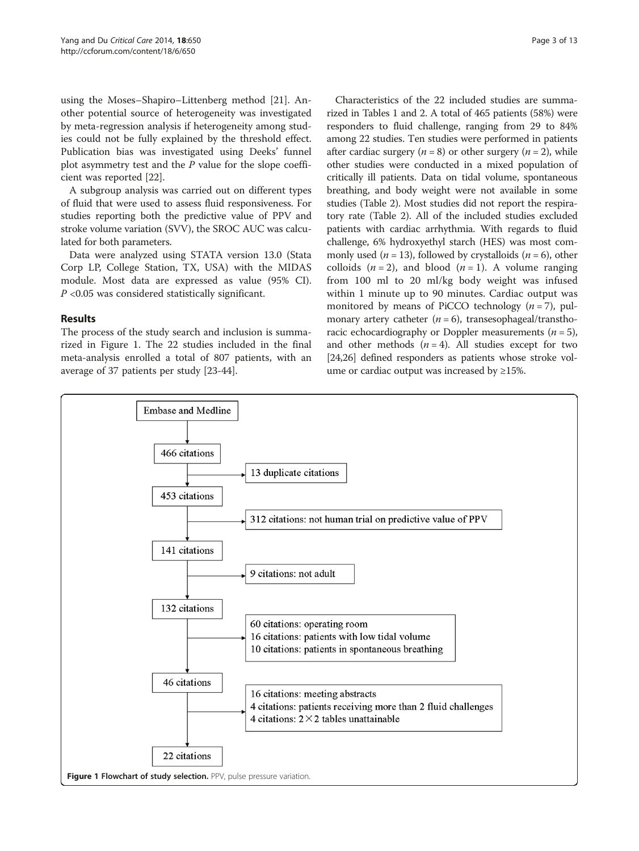using the Moses–Shapiro–Littenberg method [\[21\]](#page-11-0). Another potential source of heterogeneity was investigated by meta-regression analysis if heterogeneity among studies could not be fully explained by the threshold effect. Publication bias was investigated using Deeks' funnel plot asymmetry test and the P value for the slope coefficient was reported [[22](#page-11-0)].

A subgroup analysis was carried out on different types of fluid that were used to assess fluid responsiveness. For studies reporting both the predictive value of PPV and stroke volume variation (SVV), the SROC AUC was calculated for both parameters.

Data were analyzed using STATA version 13.0 (Stata Corp LP, College Station, TX, USA) with the MIDAS module. Most data are expressed as value (95% CI).  $P$  <0.05 was considered statistically significant.

# Results

The process of the study search and inclusion is summarized in Figure 1. The 22 studies included in the final meta-analysis enrolled a total of 807 patients, with an average of 37 patients per study [\[23-44](#page-11-0)].

Characteristics of the 22 included studies are summarized in Tables [1](#page-3-0) and [2](#page-4-0). A total of 465 patients (58%) were responders to fluid challenge, ranging from 29 to 84% among 22 studies. Ten studies were performed in patients after cardiac surgery  $(n = 8)$  or other surgery  $(n = 2)$ , while other studies were conducted in a mixed population of critically ill patients. Data on tidal volume, spontaneous breathing, and body weight were not available in some studies (Table [2](#page-4-0)). Most studies did not report the respiratory rate (Table [2](#page-4-0)). All of the included studies excluded patients with cardiac arrhythmia. With regards to fluid challenge, 6% hydroxyethyl starch (HES) was most commonly used ( $n = 13$ ), followed by crystalloids ( $n = 6$ ), other colloids  $(n = 2)$ , and blood  $(n = 1)$ . A volume ranging from 100 ml to 20 ml/kg body weight was infused within 1 minute up to 90 minutes. Cardiac output was monitored by means of PiCCO technology  $(n = 7)$ , pulmonary artery catheter  $(n = 6)$ , transesophageal/transthoracic echocardiography or Doppler measurements  $(n = 5)$ , and other methods  $(n = 4)$ . All studies except for two [[24](#page-11-0),[26](#page-11-0)] defined responders as patients whose stroke volume or cardiac output was increased by  $\geq$ 15%.

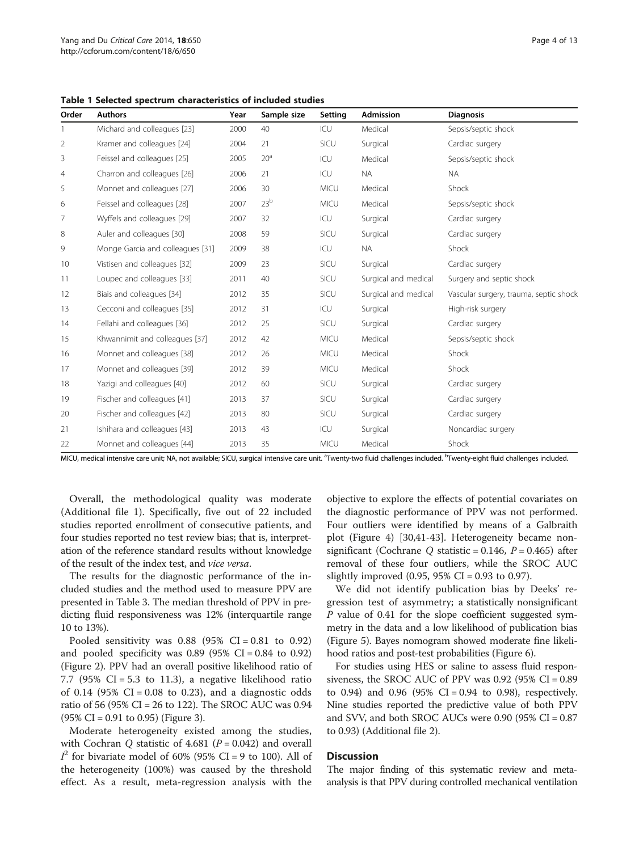<span id="page-3-0"></span>Table 1 Selected spectrum characteristics of included studies

| Order | <b>Authors</b>                   | Year | Sample size     | Setting     | Admission            | <b>Diagnosis</b>                       |
|-------|----------------------------------|------|-----------------|-------------|----------------------|----------------------------------------|
|       | Michard and colleagues [23]      | 2000 | 40              | ICU         | Medical              | Sepsis/septic shock                    |
| 2     | Kramer and colleagues [24]       | 2004 | 21              | SICU        | Surgical             | Cardiac surgery                        |
| 3     | Feissel and colleagues [25]      | 2005 | 20 <sup>a</sup> | ICU         | Medical              | Sepsis/septic shock                    |
| 4     | Charron and colleagues [26]      | 2006 | 21              | ICU         | <b>NA</b>            | <b>NA</b>                              |
| 5     | Monnet and colleagues [27]       | 2006 | 30              | <b>MICU</b> | Medical              | Shock                                  |
| 6     | Feissel and colleagues [28]      | 2007 | 23 <sup>b</sup> | <b>MICU</b> | Medical              | Sepsis/septic shock                    |
| 7     | Wyffels and colleagues [29]      | 2007 | 32              | ICU         | Surgical             | Cardiac surgery                        |
| 8     | Auler and colleagues [30]        | 2008 | 59              | SICU        | Surgical             | Cardiac surgery                        |
| 9     | Monge Garcia and colleagues [31] | 2009 | 38              | ICU         | <b>NA</b>            | Shock                                  |
| 10    | Vistisen and colleagues [32]     | 2009 | 23              | SICU        | Surgical             | Cardiac surgery                        |
| 11    | Loupec and colleagues [33]       | 2011 | 40              | SICU        | Surgical and medical | Surgery and septic shock               |
| 12    | Biais and colleagues [34]        | 2012 | 35              | SICU        | Surgical and medical | Vascular surgery, trauma, septic shock |
| 13    | Cecconi and colleagues [35]      | 2012 | 31              | ICU         | Surgical             | High-risk surgery                      |
| 14    | Fellahi and colleagues [36]      | 2012 | 25              | SICU        | Surgical             | Cardiac surgery                        |
| 15    | Khwannimit and colleagues [37]   | 2012 | 42              | MICU        | Medical              | Sepsis/septic shock                    |
| 16    | Monnet and colleagues [38]       | 2012 | 26              | <b>MICU</b> | Medical              | Shock                                  |
| 17    | Monnet and colleagues [39]       | 2012 | 39              | <b>MICU</b> | Medical              | Shock                                  |
| 18    | Yazigi and colleagues [40]       | 2012 | 60              | SICU        | Surgical             | Cardiac surgery                        |
| 19    | Fischer and colleagues [41]      | 2013 | 37              | SICU        | Surgical             | Cardiac surgery                        |
| 20    | Fischer and colleagues [42]      | 2013 | 80              | SICU        | Surgical             | Cardiac surgery                        |
| 21    | Ishihara and colleagues [43]     | 2013 | 43              | ICU         | Surgical             | Noncardiac surgery                     |
| 22    | Monnet and colleagues [44]       | 2013 | 35              | <b>MICU</b> | Medical              | Shock                                  |

MICU, medical intensive care unit; NA, not available; SICU, surgical intensive care unit. <sup>a</sup>Twenty-two fluid challenges included. <sup>b</sup>Twenty-eight fluid challenges included.

Overall, the methodological quality was moderate (Additional file [1](#page-10-0)). Specifically, five out of 22 included studies reported enrollment of consecutive patients, and four studies reported no test review bias; that is, interpretation of the reference standard results without knowledge of the result of the index test, and vice versa.

The results for the diagnostic performance of the included studies and the method used to measure PPV are presented in Table [3](#page-5-0). The median threshold of PPV in predicting fluid responsiveness was 12% (interquartile range 10 to 13%).

Pooled sensitivity was  $0.88$  (95% CI = 0.81 to 0.92) and pooled specificity was  $0.89$  (95% CI = 0.84 to 0.92) (Figure [2](#page-6-0)). PPV had an overall positive likelihood ratio of 7.7 (95% CI = 5.3 to 11.3), a negative likelihood ratio of 0.14 (95%  $CI = 0.08$  to 0.23), and a diagnostic odds ratio of 56 (95% CI = 26 to 122). The SROC AUC was 0.94 (95% CI = 0.91 to 0.95) (Figure [3](#page-7-0)).

Moderate heterogeneity existed among the studies, with Cochran Q statistic of 4.681 ( $P = 0.042$ ) and overall  $I^2$  for bivariate model of 60% (95% CI = 9 to 100). All of the heterogeneity (100%) was caused by the threshold effect. As a result, meta-regression analysis with the objective to explore the effects of potential covariates on the diagnostic performance of PPV was not performed. Four outliers were identified by means of a Galbraith plot (Figure [4](#page-7-0)) [[30](#page-11-0),[41](#page-11-0)-[43\]](#page-11-0). Heterogeneity became nonsignificant (Cochrane O statistic =  $0.146$ ,  $P = 0.465$ ) after removal of these four outliers, while the SROC AUC slightly improved  $(0.95, 95\% \text{ CI} = 0.93 \text{ to } 0.97)$ .

We did not identify publication bias by Deeks' regression test of asymmetry; a statistically nonsignificant P value of 0.41 for the slope coefficient suggested symmetry in the data and a low likelihood of publication bias (Figure [5](#page-8-0)). Bayes nomogram showed moderate fine likelihood ratios and post-test probabilities (Figure [6](#page-9-0)).

For studies using HES or saline to assess fluid responsiveness, the SROC AUC of PPV was  $0.92$  (95% CI =  $0.89$ ) to 0.94) and 0.96 (95% CI = 0.94 to 0.98), respectively. Nine studies reported the predictive value of both PPV and SVV, and both SROC AUCs were 0.90 (95% CI = 0.87 to 0.93) (Additional file [2](#page-10-0)).

#### Discussion

The major finding of this systematic review and metaanalysis is that PPV during controlled mechanical ventilation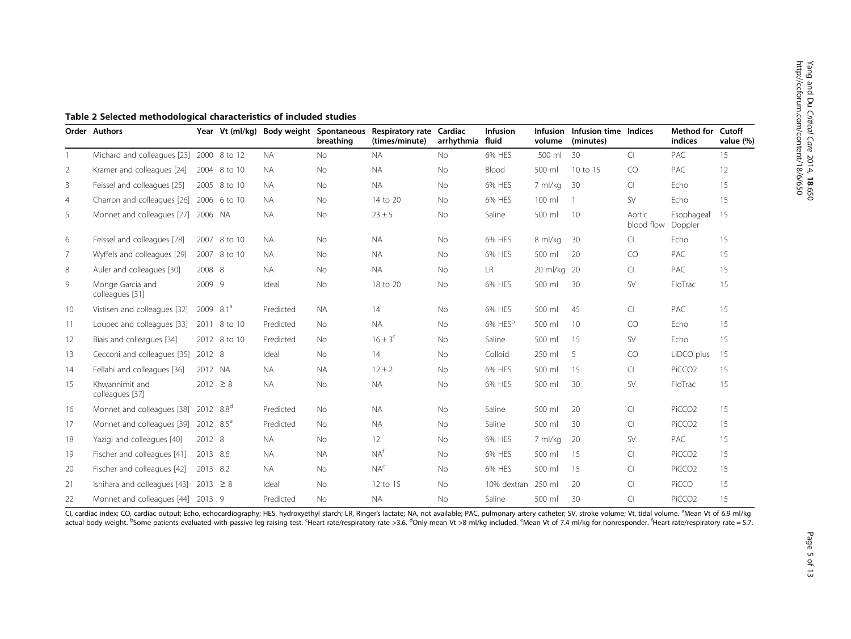<span id="page-4-0"></span>

|                | Order Authors                            |                | Year Vt (ml/kg) |           | Body weight Spontaneous<br>breathing | Respiratory rate Cardiac<br>(times/minute) | arrhythmia | <b>Infusion</b><br>fluid | <b>Infusion</b><br>volume | Infusion time Indices<br>(minutes) |                      | <b>Method for Cutoff</b><br>indices | value (%) |
|----------------|------------------------------------------|----------------|-----------------|-----------|--------------------------------------|--------------------------------------------|------------|--------------------------|---------------------------|------------------------------------|----------------------|-------------------------------------|-----------|
|                | Michard and colleagues [23]              |                | 2000 8 to 12    | <b>NA</b> | No                                   | <b>NA</b>                                  | <b>No</b>  | 6% HES                   | 500 ml                    | 30                                 | Cl                   | PAC                                 | 15        |
| $\overline{2}$ | Kramer and colleagues [24]               |                | 2004 8 to 10    | <b>NA</b> | No                                   | <b>NA</b>                                  | <b>No</b>  | Blood                    | 500 ml                    | 10 to 15                           | CO.                  | PAC                                 | 12        |
| 3              | Feissel and colleagues [25]              |                | 2005 8 to 10    | <b>NA</b> | No                                   | <b>NA</b>                                  | No         | 6% HES                   | 7 ml/kg                   | 30                                 | CI.                  | Echo                                | 15        |
| $\overline{4}$ | Charron and colleagues [26] 2006 6 to 10 |                |                 | <b>NA</b> | No                                   | 14 to 20                                   | <b>No</b>  | 6% HES                   | 100 ml                    |                                    | <b>SV</b>            | Echo                                | 15        |
| 5              | Monnet and colleagues [27] 2006 NA       |                |                 | <b>NA</b> | No                                   | $23 \pm 5$                                 | No         | Saline                   | 500 ml                    | 10                                 | Aortic<br>blood flow | Esophageal<br>Doppler               | 15        |
| 6              | Feissel and colleagues [28]              |                | 2007 8 to 10    | <b>NA</b> | No                                   | <b>NA</b>                                  | <b>No</b>  | 6% HES                   | 8 ml/kg                   | 30                                 | CI.                  | Echo                                | 15        |
| 7              | Wyffels and colleagues [29]              |                | 2007 8 to 10    | <b>NA</b> | No                                   | <b>NA</b>                                  | No         | 6% HES                   | 500 ml                    | 20                                 | CO                   | PAC                                 | 15        |
| 8              | Auler and colleagues [30]                | 2008 8         |                 | <b>NA</b> | No                                   | <b>NA</b>                                  | <b>No</b>  | <b>LR</b>                | 20 ml/kg                  | -20                                | CI.                  | <b>PAC</b>                          | 15        |
| 9              | Monge Garcia and<br>colleagues [31]      | 2009 9         |                 | Ideal     | No                                   | 18 to 20                                   | No         | 6% HES                   | 500 ml                    | 30                                 | SV                   | FloTrac                             | 15        |
| 10             | Vistisen and colleagues [32]             | $2009$ $8.1^a$ |                 | Predicted | <b>NA</b>                            | 14                                         | <b>No</b>  | 6% HES                   | 500 ml                    | 45                                 | CI.                  | <b>PAC</b>                          | 15        |
| 11             | Loupec and colleagues [33]               |                | 2011 8 to 10    | Predicted | No                                   | <b>NA</b>                                  | <b>No</b>  | 6% HES <sup>b</sup>      | 500 ml                    | 10                                 | CO                   | Echo                                | 15        |
| 12             | Biais and colleagues [34]                |                | 2012 8 to 10    | Predicted | <b>No</b>                            | $16 \pm 3^{\circ}$                         | <b>No</b>  | Saline                   | 500 ml                    | 15                                 | <b>SV</b>            | Echo                                | 15        |
| 13             | Cecconi and colleagues [35]              | 2012 8         |                 | Ideal     | No                                   | 14                                         | <b>No</b>  | Colloid                  | 250 ml                    | .5                                 | CO                   | LiDCO plus                          | 15        |
| 14             | Fellahi and colleagues [36]              | 2012 NA        |                 | <b>NA</b> | <b>NA</b>                            | $12 \pm 2$                                 | No         | 6% HES                   | 500 ml                    | 15                                 | CI.                  | PiCCO <sub>2</sub>                  | 15        |
| 15             | Khwannimit and<br>colleagues [37]        | $2012 \ge 8$   |                 | <b>NA</b> | No                                   | <b>NA</b>                                  | No         | 6% HES                   | 500 ml                    | 30                                 | <b>SV</b>            | FloTrac                             | 15        |
| 16             | Monnet and colleagues [38]               | 2012 $8.8^d$   |                 | Predicted | No                                   | <b>NA</b>                                  | No         | Saline                   | 500 ml                    | 20                                 | CI                   | PiCCO <sub>2</sub>                  | 15        |
| 17             | Monnet and colleagues [39]               | 2012 $8.5^e$   |                 | Predicted | No                                   | <b>NA</b>                                  | <b>No</b>  | Saline                   | 500 ml                    | 30                                 | <b>CI</b>            | PiCCO <sub>2</sub>                  | 15        |
| 18             | Yazigi and colleagues [40]               | 2012 8         |                 | <b>NA</b> | No                                   | 12                                         | No         | 6% HES                   | 7 ml/kg                   | 20                                 | <b>SV</b>            | PAC                                 | 15        |
| 19             | Fischer and colleagues [41]              | 2013 8.6       |                 | <b>NA</b> | <b>NA</b>                            | NA <sup>f</sup>                            | <b>No</b>  | 6% HES                   | 500 ml                    | 15                                 | <b>CI</b>            | PiCCO <sub>2</sub>                  | 15        |
| 20             | Fischer and colleagues [42]              | 2013 8.2       |                 | <b>NA</b> | No                                   | NA <sup>c</sup>                            | No         | 6% HES                   | 500 ml                    | 15                                 | <b>CI</b>            | PiCCO <sub>2</sub>                  | 15        |
| 21             | Ishihara and colleagues [43]             | $2013 \ge 8$   |                 | Ideal     | <b>No</b>                            | 12 to 15                                   | <b>No</b>  | 10% dextran              | 250 ml                    | 20                                 | <b>CI</b>            | PiCCO                               | 15        |
| 22             | Monnet and colleagues [44]               | 2013 9         |                 | Predicted | <b>No</b>                            | <b>NA</b>                                  | <b>No</b>  | Saline                   | 500 ml                    | 30                                 | CI                   | PiCCO <sub>2</sub>                  | 15        |

CI, cardiac index; CO, cardiac output; Echo, echocardiography; HES, hydroxyethyl starch; LR, Ringer's lactate; NA, not available; PAC, pulmonary artery catheter; SV, stroke volume; Vt, tidal volume. <sup>a</sup>Mean Vt of 6.9 ml/kg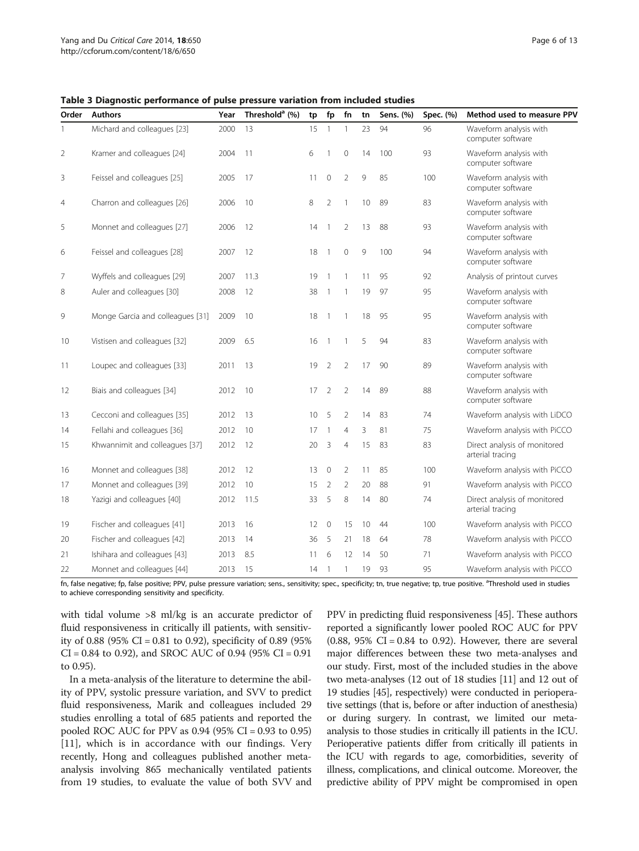<span id="page-5-0"></span>Table 3 Diagnostic performance of pulse pressure variation from included studies

| Order          | <b>Authors</b>                   | Year | Threshold <sup>a</sup> (%) | tp | fp             | fn             | tn | Sens. (%) | Spec. (%) | Method used to measure PPV                       |
|----------------|----------------------------------|------|----------------------------|----|----------------|----------------|----|-----------|-----------|--------------------------------------------------|
| 1              | Michard and colleagues [23]      | 2000 | 13                         | 15 | $\mathbf{1}$   |                | 23 | 94        | 96        | Waveform analysis with<br>computer software      |
| 2              | Kramer and colleagues [24]       | 2004 | 11                         | 6  | $\mathbf{1}$   | $\mathbf{0}$   | 14 | 100       | 93        | Waveform analysis with<br>computer software      |
| 3              | Feissel and colleagues [25]      | 2005 | 17                         | 11 | $\overline{0}$ | $\overline{2}$ | 9  | 85        | 100       | Waveform analysis with<br>computer software      |
| $\overline{4}$ | Charron and colleagues [26]      | 2006 | 10                         | 8  | $\overline{2}$ | 1              | 10 | 89        | 83        | Waveform analysis with<br>computer software      |
| 5              | Monnet and colleagues [27]       | 2006 | 12                         | 14 | $\mathbf{1}$   | $\overline{2}$ | 13 | 88        | 93        | Waveform analysis with<br>computer software      |
| 6              | Feissel and colleagues [28]      | 2007 | 12                         | 18 | $\overline{1}$ | $\mathbf{0}$   | 9  | 100       | 94        | Waveform analysis with<br>computer software      |
| 7              | Wyffels and colleagues [29]      | 2007 | 11.3                       | 19 | $\mathbf{1}$   | $\mathbf{1}$   | 11 | 95        | 92        | Analysis of printout curves                      |
| 8              | Auler and colleagues [30]        | 2008 | 12                         | 38 | $\mathbf{1}$   | 1              | 19 | 97        | 95        | Waveform analysis with<br>computer software      |
| 9              | Monge Garcia and colleagues [31] | 2009 | 10                         | 18 | $\mathbf{1}$   | 1              | 18 | 95        | 95        | Waveform analysis with<br>computer software      |
| 10             | Vistisen and colleagues [32]     | 2009 | 6.5                        | 16 | $\overline{1}$ | $\mathbf{1}$   | 5  | 94        | 83        | Waveform analysis with<br>computer software      |
| 11             | Loupec and colleagues [33]       | 2011 | 13                         | 19 | $\overline{2}$ | $\overline{2}$ | 17 | 90        | 89        | Waveform analysis with<br>computer software      |
| 12             | Biais and colleagues [34]        | 2012 | 10                         | 17 | $\overline{2}$ | $\overline{2}$ | 14 | 89        | 88        | Waveform analysis with<br>computer software      |
| 13             | Cecconi and colleagues [35]      | 2012 | 13                         | 10 | 5              | $\overline{2}$ | 14 | 83        | 74        | Waveform analysis with LiDCO                     |
| 14             | Fellahi and colleagues [36]      | 2012 | 10                         | 17 | $\mathbf{1}$   | 4              | 3  | 81        | 75        | Waveform analysis with PiCCO                     |
| 15             | Khwannimit and colleagues [37]   | 2012 | 12                         | 20 | 3              | 4              | 15 | 83        | 83        | Direct analysis of monitored<br>arterial tracing |
| 16             | Monnet and colleagues [38]       | 2012 | 12                         | 13 | $\mathbf{0}$   | 2              | 11 | 85        | 100       | Waveform analysis with PiCCO                     |
| 17             | Monnet and colleagues [39]       | 2012 | 10                         | 15 | 2              | 2              | 20 | 88        | 91        | Waveform analysis with PiCCO                     |
| 18             | Yazigi and colleagues [40]       | 2012 | 11.5                       | 33 | 5              | 8              | 14 | 80        | 74        | Direct analysis of monitored<br>arterial tracing |
| 19             | Fischer and colleagues [41]      | 2013 | 16                         | 12 | $\mathbf 0$    | 15             | 10 | 44        | 100       | Waveform analysis with PiCCO                     |
| 20             | Fischer and colleagues [42]      | 2013 | 14                         | 36 | 5              | 21             | 18 | 64        | 78        | Waveform analysis with PiCCO                     |
| 21             | Ishihara and colleagues [43]     | 2013 | 8.5                        | 11 | 6              | 12             | 14 | 50        | 71        | Waveform analysis with PiCCO                     |
| 22             | Monnet and colleagues [44]       | 2013 | 15                         | 14 | $\overline{1}$ | 1              | 19 | 93        | 95        | Waveform analysis with PiCCO                     |

fn, false negative; fp, false positive; PPV, pulse pressure variation; sens., sensitivity; spec., specificity; tn, true negative; tp, true positive. <sup>a</sup>Threshold used in studies to achieve corresponding sensitivity and specificity.

with tidal volume >8 ml/kg is an accurate predictor of fluid responsiveness in critically ill patients, with sensitivity of 0.88 (95% CI = 0.81 to 0.92), specificity of 0.89 (95%)  $CI = 0.84$  to 0.92), and SROC AUC of 0.94 (95%  $CI = 0.91$ to 0.95).

In a meta-analysis of the literature to determine the ability of PPV, systolic pressure variation, and SVV to predict fluid responsiveness, Marik and colleagues included 29 studies enrolling a total of 685 patients and reported the pooled ROC AUC for PPV as 0.94 (95% CI = 0.93 to 0.95) [[11\]](#page-10-0), which is in accordance with our findings. Very recently, Hong and colleagues published another metaanalysis involving 865 mechanically ventilated patients from 19 studies, to evaluate the value of both SVV and PPV in predicting fluid responsiveness [\[45\]](#page-11-0). These authors reported a significantly lower pooled ROC AUC for PPV  $(0.88, 95\% \text{ CI} = 0.84 \text{ to } 0.92)$ . However, there are several major differences between these two meta-analyses and our study. First, most of the included studies in the above two meta-analyses (12 out of 18 studies [[11](#page-10-0)] and 12 out of 19 studies [[45](#page-11-0)], respectively) were conducted in perioperative settings (that is, before or after induction of anesthesia) or during surgery. In contrast, we limited our metaanalysis to those studies in critically ill patients in the ICU. Perioperative patients differ from critically ill patients in the ICU with regards to age, comorbidities, severity of illness, complications, and clinical outcome. Moreover, the predictive ability of PPV might be compromised in open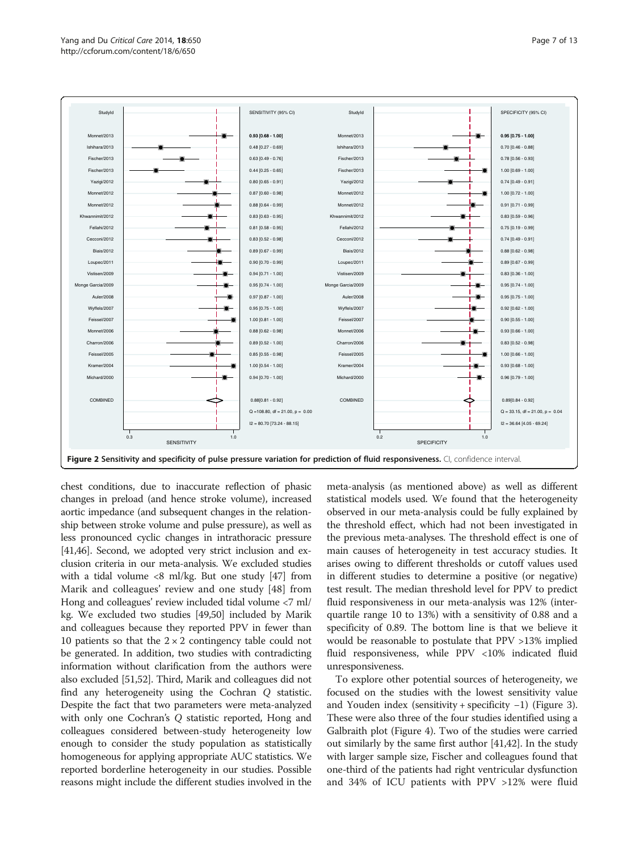<span id="page-6-0"></span>

chest conditions, due to inaccurate reflection of phasic changes in preload (and hence stroke volume), increased aortic impedance (and subsequent changes in the relationship between stroke volume and pulse pressure), as well as less pronounced cyclic changes in intrathoracic pressure [[41,46\]](#page-11-0). Second, we adopted very strict inclusion and exclusion criteria in our meta-analysis. We excluded studies with a tidal volume  $\langle 8 \text{ ml/kg}$ . But one study [\[47\]](#page-11-0) from Marik and colleagues' review and one study [[48](#page-11-0)] from Hong and colleagues' review included tidal volume <7 ml/ kg. We excluded two studies [\[49,50](#page-11-0)] included by Marik and colleagues because they reported PPV in fewer than 10 patients so that the  $2 \times 2$  contingency table could not be generated. In addition, two studies with contradicting information without clarification from the authors were also excluded [\[51,52\]](#page-11-0). Third, Marik and colleagues did not find any heterogeneity using the Cochran Q statistic. Despite the fact that two parameters were meta-analyzed with only one Cochran's Q statistic reported, Hong and colleagues considered between-study heterogeneity low enough to consider the study population as statistically homogeneous for applying appropriate AUC statistics. We reported borderline heterogeneity in our studies. Possible reasons might include the different studies involved in the meta-analysis (as mentioned above) as well as different statistical models used. We found that the heterogeneity observed in our meta-analysis could be fully explained by the threshold effect, which had not been investigated in the previous meta-analyses. The threshold effect is one of main causes of heterogeneity in test accuracy studies. It arises owing to different thresholds or cutoff values used in different studies to determine a positive (or negative) test result. The median threshold level for PPV to predict fluid responsiveness in our meta-analysis was 12% (interquartile range 10 to 13%) with a sensitivity of 0.88 and a specificity of 0.89. The bottom line is that we believe it would be reasonable to postulate that PPV >13% implied fluid responsiveness, while PPV <10% indicated fluid unresponsiveness.

To explore other potential sources of heterogeneity, we focused on the studies with the lowest sensitivity value and Youden index (sensitivity + specificity −1) (Figure [3](#page-7-0)). These were also three of the four studies identified using a Galbraith plot (Figure [4](#page-7-0)). Two of the studies were carried out similarly by the same first author [\[41,42\]](#page-11-0). In the study with larger sample size, Fischer and colleagues found that one-third of the patients had right ventricular dysfunction and 34% of ICU patients with PPV >12% were fluid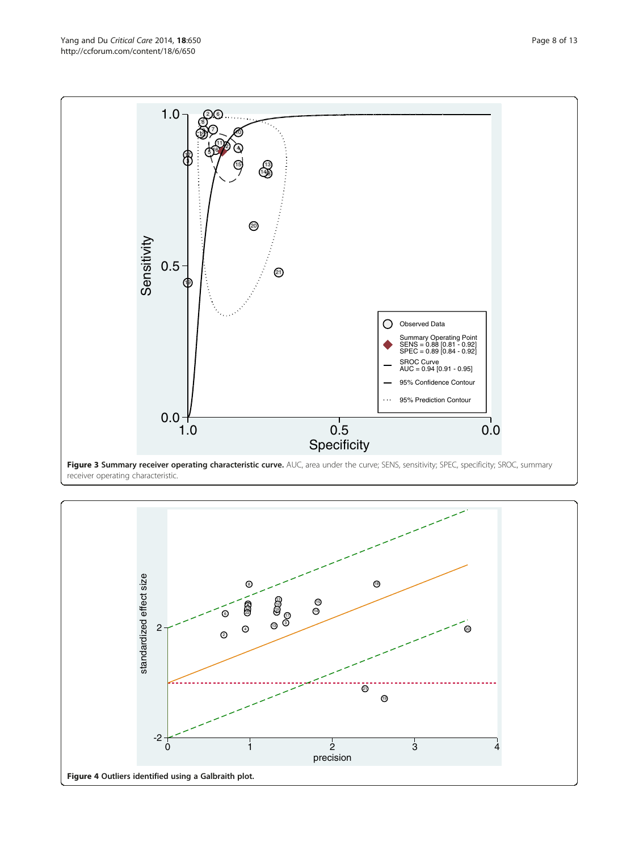<span id="page-7-0"></span>

receiver operating characteristic.

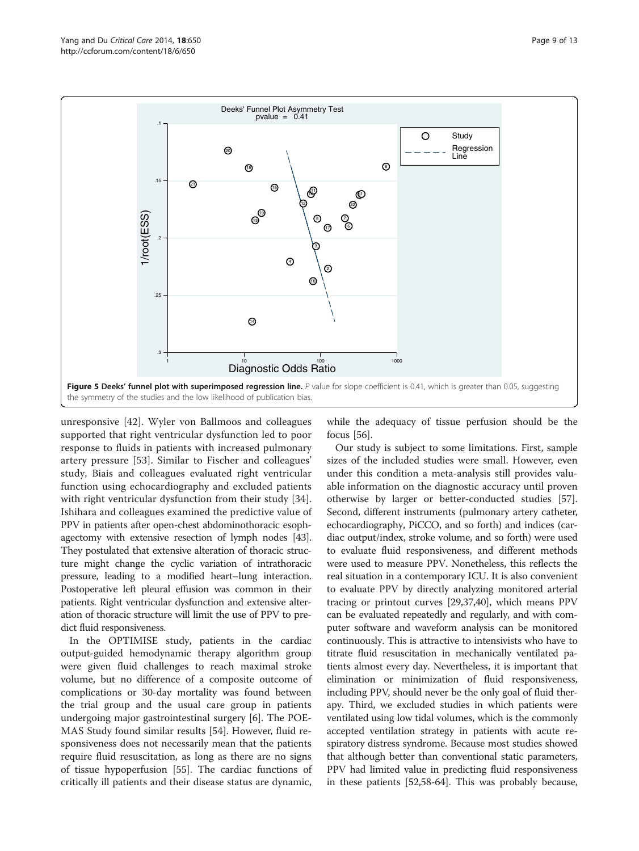<span id="page-8-0"></span>

unresponsive [\[42\]](#page-11-0). Wyler von Ballmoos and colleagues supported that right ventricular dysfunction led to poor response to fluids in patients with increased pulmonary artery pressure [\[53](#page-11-0)]. Similar to Fischer and colleagues' study, Biais and colleagues evaluated right ventricular function using echocardiography and excluded patients with right ventricular dysfunction from their study [\[34](#page-11-0)]. Ishihara and colleagues examined the predictive value of PPV in patients after open-chest abdominothoracic esophagectomy with extensive resection of lymph nodes [[43](#page-11-0)]. They postulated that extensive alteration of thoracic structure might change the cyclic variation of intrathoracic pressure, leading to a modified heart–lung interaction. Postoperative left pleural effusion was common in their patients. Right ventricular dysfunction and extensive alteration of thoracic structure will limit the use of PPV to predict fluid responsiveness.

In the OPTIMISE study, patients in the cardiac output-guided hemodynamic therapy algorithm group were given fluid challenges to reach maximal stroke volume, but no difference of a composite outcome of complications or 30-day mortality was found between the trial group and the usual care group in patients undergoing major gastrointestinal surgery [\[6](#page-10-0)]. The POE-MAS Study found similar results [\[54\]](#page-11-0). However, fluid responsiveness does not necessarily mean that the patients require fluid resuscitation, as long as there are no signs of tissue hypoperfusion [\[55\]](#page-12-0). The cardiac functions of critically ill patients and their disease status are dynamic,

while the adequacy of tissue perfusion should be the focus [\[56](#page-12-0)].

Our study is subject to some limitations. First, sample sizes of the included studies were small. However, even under this condition a meta-analysis still provides valuable information on the diagnostic accuracy until proven otherwise by larger or better-conducted studies [\[57](#page-12-0)]. Second, different instruments (pulmonary artery catheter, echocardiography, PiCCO, and so forth) and indices (cardiac output/index, stroke volume, and so forth) were used to evaluate fluid responsiveness, and different methods were used to measure PPV. Nonetheless, this reflects the real situation in a contemporary ICU. It is also convenient to evaluate PPV by directly analyzing monitored arterial tracing or printout curves [\[29,37,40](#page-11-0)], which means PPV can be evaluated repeatedly and regularly, and with computer software and waveform analysis can be monitored continuously. This is attractive to intensivists who have to titrate fluid resuscitation in mechanically ventilated patients almost every day. Nevertheless, it is important that elimination or minimization of fluid responsiveness, including PPV, should never be the only goal of fluid therapy. Third, we excluded studies in which patients were ventilated using low tidal volumes, which is the commonly accepted ventilation strategy in patients with acute respiratory distress syndrome. Because most studies showed that although better than conventional static parameters, PPV had limited value in predicting fluid responsiveness in these patients [[52](#page-11-0)[,58](#page-12-0)-[64](#page-12-0)]. This was probably because,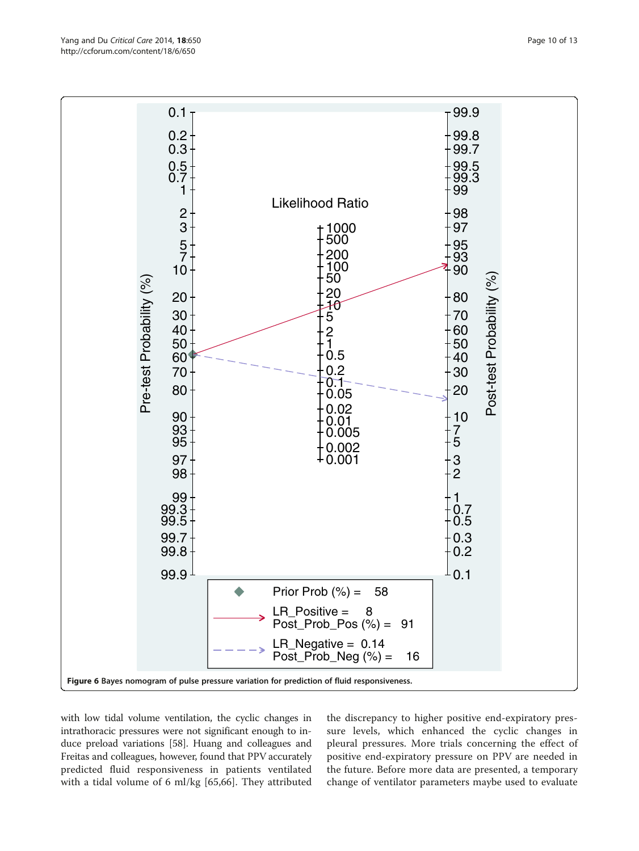<span id="page-9-0"></span>

with low tidal volume ventilation, the cyclic changes in intrathoracic pressures were not significant enough to induce preload variations [[58](#page-12-0)]. Huang and colleagues and Freitas and colleagues, however, found that PPV accurately predicted fluid responsiveness in patients ventilated with a tidal volume of 6 ml/kg [[65,66](#page-12-0)]. They attributed

the discrepancy to higher positive end-expiratory pressure levels, which enhanced the cyclic changes in pleural pressures. More trials concerning the effect of positive end-expiratory pressure on PPV are needed in the future. Before more data are presented, a temporary change of ventilator parameters maybe used to evaluate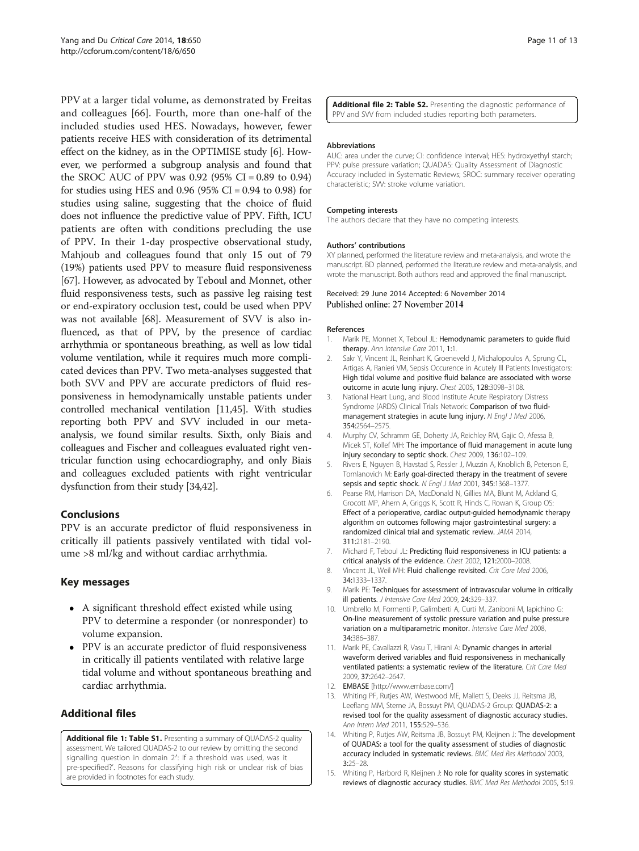<span id="page-10-0"></span>PPV at a larger tidal volume, as demonstrated by Freitas and colleagues [\[66](#page-12-0)]. Fourth, more than one-half of the included studies used HES. Nowadays, however, fewer patients receive HES with consideration of its detrimental effect on the kidney, as in the OPTIMISE study [6]. However, we performed a subgroup analysis and found that the SROC AUC of PPV was  $0.92$  (95% CI = 0.89 to 0.94) for studies using HES and 0.96 (95% CI = 0.94 to 0.98) for studies using saline, suggesting that the choice of fluid does not influence the predictive value of PPV. Fifth, ICU patients are often with conditions precluding the use of PPV. In their 1-day prospective observational study, Mahjoub and colleagues found that only 15 out of 79 (19%) patients used PPV to measure fluid responsiveness [[67](#page-12-0)]. However, as advocated by Teboul and Monnet, other fluid responsiveness tests, such as passive leg raising test or end-expiratory occlusion test, could be used when PPV was not available [\[68\]](#page-12-0). Measurement of SVV is also influenced, as that of PPV, by the presence of cardiac arrhythmia or spontaneous breathing, as well as low tidal volume ventilation, while it requires much more complicated devices than PPV. Two meta-analyses suggested that both SVV and PPV are accurate predictors of fluid responsiveness in hemodynamically unstable patients under controlled mechanical ventilation [11[,45\]](#page-11-0). With studies reporting both PPV and SVV included in our metaanalysis, we found similar results. Sixth, only Biais and colleagues and Fischer and colleagues evaluated right ventricular function using echocardiography, and only Biais and colleagues excluded patients with right ventricular dysfunction from their study [[34,42\]](#page-11-0).

# **Conclusions**

PPV is an accurate predictor of fluid responsiveness in critically ill patients passively ventilated with tidal volume >8 ml/kg and without cardiac arrhythmia.

# Key messages

- A significant threshold effect existed while using PPV to determine a responder (or nonresponder) to volume expansion.
- PPV is an accurate predictor of fluid responsiveness in critically ill patients ventilated with relative large tidal volume and without spontaneous breathing and cardiac arrhythmia.

# Additional files

[Additional file 1: Table S1.](http://ccforum.com/content/supplementary/s13054-014-0650-6-s1.doc) Presenting a summary of QUADAS-2 quality assessment. We tailored QUADAS-2 to our review by omitting the second signalling question in domain 2′: If a threshold was used, was it pre-specified?'. Reasons for classifying high risk or unclear risk of bias are provided in footnotes for each study.

[Additional file 2: Table S2.](http://ccforum.com/content/supplementary/s13054-014-0650-6-s2.doc) Presenting the diagnostic performance of PPV and SVV from included studies reporting both parameters.

#### Abbreviations

AUC: area under the curve; CI: confidence interval; HES: hydroxyethyl starch; PPV: pulse pressure variation; QUADAS: Quality Assessment of Diagnostic Accuracy included in Systematic Reviews; SROC: summary receiver operating characteristic; SVV: stroke volume variation.

#### Competing interests

The authors declare that they have no competing interests.

#### Authors' contributions

XY planned, performed the literature review and meta-analysis, and wrote the manuscript. BD planned, performed the literature review and meta-analysis, and wrote the manuscript. Both authors read and approved the final manuscript.

#### Received: 29 June 2014 Accepted: 6 November 2014 Published online: 27 November 2014

#### References

- 1. Marik PE, Monnet X, Teboul JL: Hemodynamic parameters to guide fluid therapy. Ann Intensive Care 2011, 1:1.
- 2. Sakr Y, Vincent JL, Reinhart K, Groeneveld J, Michalopoulos A, Sprung CL, Artigas A, Ranieri VM, Sepsis Occurence in Acutely Ill Patients Investigators: High tidal volume and positive fluid balance are associated with worse outcome in acute lung injury. Chest 2005, 128:3098–3108.
- 3. National Heart Lung, and Blood Institute Acute Respiratory Distress Syndrome (ARDS) Clinical Trials Network: Comparison of two fluidmanagement strategies in acute lung injury. N Engl J Med 2006, 354:2564–2575.
- 4. Murphy CV, Schramm GE, Doherty JA, Reichley RM, Gajic O, Afessa B, Micek ST, Kollef MH: The importance of fluid management in acute lung injury secondary to septic shock. Chest 2009, 136:102–109.
- 5. Rivers E, Nguyen B, Havstad S, Ressler J, Muzzin A, Knoblich B, Peterson E, Tomlanovich M: Early goal-directed therapy in the treatment of severe sepsis and septic shock. N Engl J Med 2001, 345:1368–1377.
- 6. Pearse RM, Harrison DA, MacDonald N, Gillies MA, Blunt M, Ackland G, Grocott MP, Ahern A, Griggs K, Scott R, Hinds C, Rowan K, Group OS: Effect of a perioperative, cardiac output-guided hemodynamic therapy algorithm on outcomes following major gastrointestinal surgery: a randomized clinical trial and systematic review. JAMA 2014, 311:2181–2190.
- 7. Michard F, Teboul JL: Predicting fluid responsiveness in ICU patients: a critical analysis of the evidence. Chest 2002, 121:2000–2008.
- 8. Vincent JL, Weil MH: Fluid challenge revisited. Crit Care Med 2006, 34:1333–1337.
- 9. Marik PE: Techniques for assessment of intravascular volume in critically ill patients. J Intensive Care Med 2009, 24:329-337.
- 10. Umbrello M, Formenti P, Galimberti A, Curti M, Zaniboni M, Iapichino G: On-line measurement of systolic pressure variation and pulse pressure variation on a multiparametric monitor. Intensive Care Med 2008, 34:386–387.
- 11. Marik PE, Cavallazzi R, Vasu T, Hirani A: Dynamic changes in arterial waveform derived variables and fluid responsiveness in mechanically ventilated patients: a systematic review of the literature. Crit Care Med 2009, 37:2642–2647.
- 12. EMBASE [\[http://www.embase.com/](http://www.embase.com/)]
- 13. Whiting PF, Rutjes AW, Westwood ME, Mallett S, Deeks JJ, Reitsma JB, Leeflang MM, Sterne JA, Bossuyt PM, QUADAS-2 Group: QUADAS-2: a revised tool for the quality assessment of diagnostic accuracy studies. Ann Intern Med 2011, 155:529-536.
- 14. Whiting P, Rutjes AW, Reitsma JB, Bossuyt PM, Kleijnen J: The development of QUADAS: a tool for the quality assessment of studies of diagnostic accuracy included in systematic reviews. BMC Med Res Methodol 2003, 3:25–28.
- 15. Whiting P, Harbord R, Kleijnen J: No role for quality scores in systematic reviews of diagnostic accuracy studies. BMC Med Res Methodol 2005, 5:19.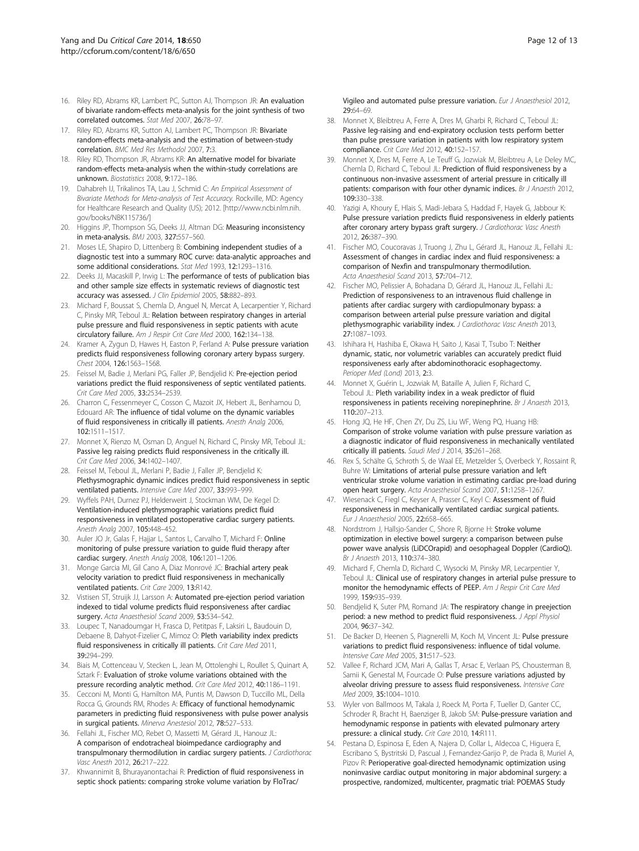- <span id="page-11-0"></span>16. Riley RD, Abrams KR, Lambert PC, Sutton AJ, Thompson JR: An evaluation of bivariate random-effects meta-analysis for the joint synthesis of two correlated outcomes. Stat Med 2007, 26:78–97.
- 17. Riley RD, Abrams KR, Sutton AJ, Lambert PC, Thompson JR: Bivariate random-effects meta-analysis and the estimation of between-study correlation. BMC Med Res Methodol 2007, 7:3.
- 18. Riley RD, Thompson JR, Abrams KR: An alternative model for bivariate random-effects meta-analysis when the within-study correlations are unknown. Biostatistics 2008, 9:172–186.
- 19. Dahabreh IJ, Trikalinos TA, Lau J, Schmid C: An Empirical Assessment of Bivariate Methods for Meta-analysis of Test Accuracy. Rockville, MD: Agency for Healthcare Research and Quality (US); 2012. [[http://www.ncbi.nlm.nih.](http://www.ncbi.nlm.nih.gov/books/NBK115736/) [gov/books/NBK115736/\]](http://www.ncbi.nlm.nih.gov/books/NBK115736/)
- 20. Higgins JP, Thompson SG, Deeks JJ, Altman DG: Measuring inconsistency in meta-analysis. BMJ 2003, 327:557–560.
- 21. Moses LE, Shapiro D, Littenberg B: Combining independent studies of a diagnostic test into a summary ROC curve: data-analytic approaches and some additional considerations. Stat Med 1993, 12:1293–1316.
- 22. Deeks JJ, Macaskill P, Irwig L: The performance of tests of publication bias and other sample size effects in systematic reviews of diagnostic test accuracy was assessed. J Clin Epidemiol 2005, 58:882-893.
- 23. Michard F, Boussat S, Chemla D, Anguel N, Mercat A, Lecarpentier Y, Richard C, Pinsky MR, Teboul JL: Relation between respiratory changes in arterial pulse pressure and fluid responsiveness in septic patients with acute circulatory failure. Am J Respir Crit Care Med 2000, 162:134–138.
- 24. Kramer A, Zygun D, Hawes H, Easton P, Ferland A: Pulse pressure variation predicts fluid responsiveness following coronary artery bypass surgery. Chest 2004, 126:1563–1568.
- 25. Feissel M, Badie J, Merlani PG, Faller JP, Bendjelid K: Pre-ejection period variations predict the fluid responsiveness of septic ventilated patients. Crit Care Med 2005, 33:2534–2539.
- 26. Charron C, Fessenmeyer C, Cosson C, Mazoit JX, Hebert JL, Benhamou D, Edouard AR: The influence of tidal volume on the dynamic variables of fluid responsiveness in critically ill patients. Anesth Analg 2006, 102:1511–1517.
- 27. Monnet X, Rienzo M, Osman D, Anguel N, Richard C, Pinsky MR, Teboul JL: Passive leg raising predicts fluid responsiveness in the critically ill. Crit Care Med 2006, 34:1402–1407.
- 28. Feissel M, Teboul JL, Merlani P, Badie J, Faller JP, Bendjelid K: Plethysmographic dynamic indices predict fluid responsiveness in septic ventilated patients. Intensive Care Med 2007, 33:993–999.
- 29. Wyffels PAH, Durnez PJ, Helderweirt J, Stockman WM, De Kegel D: Ventilation-induced plethysmographic variations predict fluid responsiveness in ventilated postoperative cardiac surgery patients. Anesth Analg 2007, 105:448–452.
- 30. Auler JO Jr, Galas F, Hajjar L, Santos L, Carvalho T, Michard F: Online monitoring of pulse pressure variation to guide fluid therapy after cardiac surgery. Anesth Analg 2008, 106:1201-1206.
- 31. Monge Garcia MI, Gil Cano A, Diaz Monrové JC: Brachial artery peak velocity variation to predict fluid responsiveness in mechanically ventilated patients. Crit Care 2009, 13:R142.
- 32. Vistisen ST, Struijk JJ, Larsson A: Automated pre-ejection period variation indexed to tidal volume predicts fluid responsiveness after cardiac surgery. Acta Anaesthesiol Scand 2009, 53:534-542.
- 33. Loupec T, Nanadoumgar H, Frasca D, Petitpas F, Laksiri L, Baudouin D, Debaene B, Dahyot-Fizelier C, Mimoz O: Pleth variability index predicts fluid responsiveness in critically ill patients. Crit Care Med 2011, 39:294–299.
- 34. Biais M, Cottenceau V, Stecken L, Jean M, Ottolenghi L, Roullet S, Quinart A, Sztark F: Evaluation of stroke volume variations obtained with the pressure recording analytic method. Crit Care Med 2012, 40:1186–1191.
- 35. Cecconi M, Monti G, Hamilton MA, Puntis M, Dawson D, Tuccillo ML, Della Rocca G, Grounds RM, Rhodes A: Efficacy of functional hemodynamic parameters in predicting fluid responsiveness with pulse power analysis in surgical patients. Minerva Anestesiol 2012, 78:527–533.
- 36. Fellahi JL, Fischer MO, Rebet O, Massetti M, Gérard JL, Hanouz JL: A comparison of endotracheal bioimpedance cardiography and transpulmonary thermodilution in cardiac surgery patients. J Cardiothorac Vasc Anesth 2012, 26:217–222.
- 37. Khwannimit B, Bhurayanontachai R: Prediction of fluid responsiveness in septic shock patients: comparing stroke volume variation by FloTrac/
- 38. Monnet X, Bleibtreu A, Ferre A, Dres M, Gharbi R, Richard C, Teboul JL: Passive leg-raising and end-expiratory occlusion tests perform better than pulse pressure variation in patients with low respiratory system compliance. Crit Care Med 2012, 40:152-157.
- 39. Monnet X, Dres M, Ferre A, Le Teuff G, Jozwiak M, Bleibtreu A, Le Deley MC, Chemla D, Richard C, Teboul JL: Prediction of fluid responsiveness by a continuous non-invasive assessment of arterial pressure in critically ill patients: comparison with four other dynamic indices. Br J Anaesth 2012, 109:330–338.
- 40. Yazigi A, Khoury E, Hlais S, Madi-Jebara S, Haddad F, Hayek G, Jabbour K: Pulse pressure variation predicts fluid responsiveness in elderly patients after coronary artery bypass graft surgery. J Cardiothorac Vasc Anesth 2012, 26:387–390.
- 41. Fischer MO, Coucoravas J, Truong J, Zhu L, Gérard JL, Hanouz JL, Fellahi JL: Assessment of changes in cardiac index and fluid responsiveness: a comparison of Nexfin and transpulmonary thermodilution. Acta Anaesthesiol Scand 2013, 57:704–712.
- 42. Fischer MO, Pelissier A, Bohadana D, Gérard JL, Hanouz JL, Fellahi JL: Prediction of responsiveness to an intravenous fluid challenge in patients after cardiac surgery with cardiopulmonary bypass: a comparison between arterial pulse pressure variation and digital plethysmographic variability index. J Cardiothorac Vasc Anesth 2013, 27:1087–1093.
- 43. Ishihara H, Hashiba E, Okawa H, Saito J, Kasai T, Tsubo T: Neither dynamic, static, nor volumetric variables can accurately predict fluid responsiveness early after abdominothoracic esophagectomy. Perioper Med (Lond) 2013, 2:3.
- 44. Monnet X, Guérin L, Jozwiak M, Bataille A, Julien F, Richard C, Teboul JL: Pleth variability index in a weak predictor of fluid responsiveness in patients receiving norepinephrine. Br J Anaesth 2013, 110:207–213.
- 45. Hong JQ, He HF, Chen ZY, Du ZS, Liu WF, Weng PQ, Huang HB: Comparison of stroke volume variation with pulse pressure variation as a diagnostic indicator of fluid responsiveness in mechanically ventilated critically ill patients. Saudi Med J 2014, 35:261–268.
- 46. Rex S, Schälte G, Schroth S, de Waal EE, Metzelder S, Overbeck Y, Rossaint R, Buhre W: Limitations of arterial pulse pressure variation and left ventricular stroke volume variation in estimating cardiac pre-load during open heart surgery. Acta Anaesthesiol Scand 2007, 51:1258–1267.
- 47. Wiesenack C, Fiegl C, Keyser A, Prasser C, Keyl C: Assessment of fluid responsiveness in mechanically ventilated cardiac surgical patients. Eur J Anaesthesiol 2005, 22:658–665.
- 48. Nordstrom J, Hallsjo-Sander C, Shore R, Bjorne H: Stroke volume optimization in elective bowel surgery: a comparison between pulse power wave analysis (LiDCOrapid) and oesophageal Doppler (CardioQ). Br J Anaesth 2013, 110:374–380.
- 49. Michard F, Chemla D, Richard C, Wysocki M, Pinsky MR, Lecarpentier Y, Teboul JL: Clinical use of respiratory changes in arterial pulse pressure to monitor the hemodynamic effects of PEEP. Am J Respir Crit Care Med 1999, 159:935–939.
- 50. Bendjelid K, Suter PM, Romand JA: The respiratory change in preejection period: a new method to predict fluid responsiveness. J Appl Physiol 2004, 96:37–342.
- 51. De Backer D, Heenen S, Piagnerelli M, Koch M, Vincent JL: Pulse pressure variations to predict fluid responsiveness: influence of tidal volume. Intensive Care Med 2005, 31:517–523.
- 52. Vallee F, Richard JCM, Mari A, Gallas T, Arsac E, Verlaan PS, Chousterman B, Samii K, Genestal M, Fourcade O: Pulse pressure variations adjusted by alveolar driving pressure to assess fluid responsiveness. Intensive Care Med 2009, 35:1004–1010.
- 53. Wyler von Ballmoos M, Takala J, Roeck M, Porta F, Tueller D, Ganter CC, Schroder R, Bracht H, Baenziger B, Jakob SM: Pulse-pressure variation and hemodynamic response in patients with elevated pulmonary artery pressure: a clinical study. Crit Care 2010, 14:R111.
- 54. Pestana D, Espinosa E, Eden A, Najera D, Collar L, Aldecoa C, Higuera E, Escribano S, Bystritski D, Pascual J, Fernandez-Garijo P, de Prada B, Muriel A, Pizov R: Perioperative goal-directed hemodynamic optimization using noninvasive cardiac output monitoring in major abdominal surgery: a prospective, randomized, multicenter, pragmatic trial: POEMAS Study